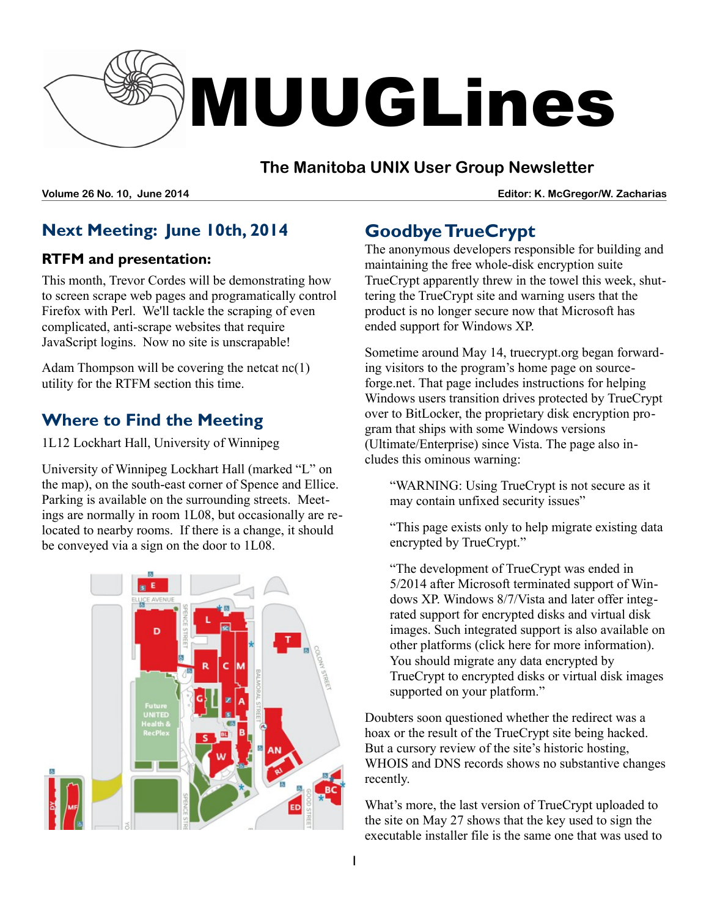

### **The Manitoba UNIX User Group Newsletter**

**Volume 26 No. 10, June 2014 Editor: K. McGregor/W. Zacharias**

## **Next Meeting: June 10th, 2014**

#### **RTFM and presentation:**

This month, Trevor Cordes will be demonstrating how to screen scrape web pages and programatically control Firefox with Perl. We'll tackle the scraping of even complicated, anti-scrape websites that require JavaScript logins. Now no site is unscrapable!

Adam Thompson will be covering the netcat nc(1) utility for the RTFM section this time.

## **Where to Find the Meeting**

1L12 Lockhart Hall, University of Winnipeg

University of Winnipeg Lockhart Hall (marked "L" on the map), on the south-east corner of Spence and Ellice. Parking is available on the surrounding streets. Meetings are normally in room 1L08, but occasionally are relocated to nearby rooms. If there is a change, it should be conveyed via a sign on the door to 1L08.



# **Goodbye TrueCrypt**

The anonymous developers responsible for building and maintaining the free whole-disk encryption suite TrueCrypt apparently threw in the towel this week, shuttering the TrueCrypt site and warning users that the product is no longer secure now that Microsoft has ended support for Windows XP.

Sometime around May 14, truecrypt.org began forwarding visitors to the program's home page on sourceforge.net. That page includes instructions for helping Windows users transition drives protected by TrueCrypt over to BitLocker, the proprietary disk encryption program that ships with some Windows versions (Ultimate/Enterprise) since Vista. The page also includes this ominous warning:

"WARNING: Using TrueCrypt is not secure as it may contain unfixed security issues"

"This page exists only to help migrate existing data encrypted by TrueCrypt."

"The development of TrueCrypt was ended in 5/2014 after Microsoft terminated support of Windows XP. Windows 8/7/Vista and later offer integrated support for encrypted disks and virtual disk images. Such integrated support is also available on other platforms (click here for more information). You should migrate any data encrypted by TrueCrypt to encrypted disks or virtual disk images supported on your platform."

Doubters soon questioned whether the redirect was a hoax or the result of the TrueCrypt site being hacked. But a cursory review of the site's historic hosting, WHOIS and DNS records shows no substantive changes recently.

What's more, the last version of TrueCrypt uploaded to the site on May 27 shows that the key used to sign the executable installer file is the same one that was used to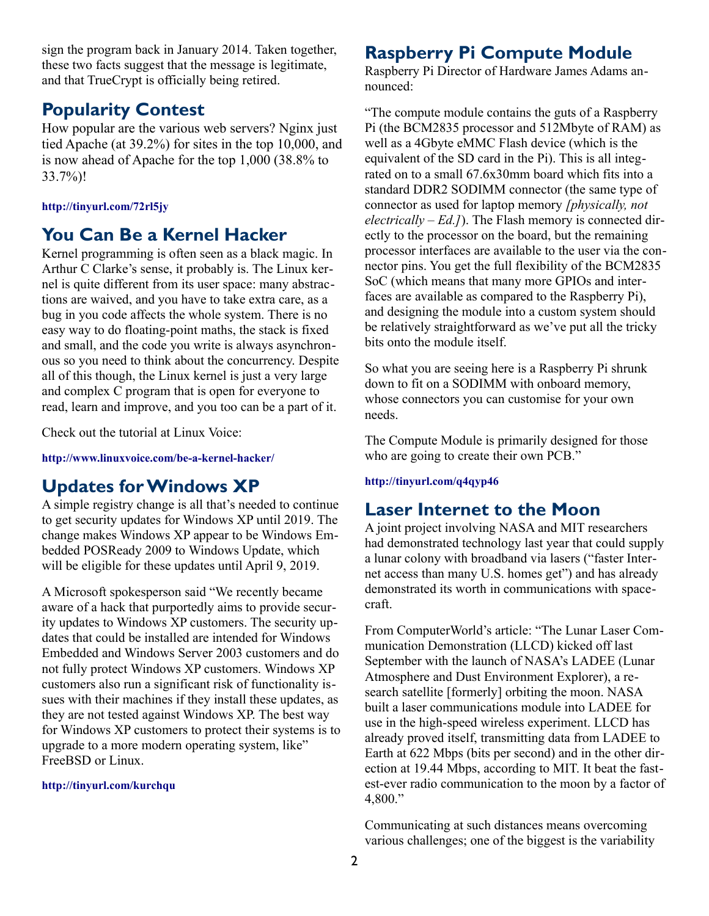sign the program back in January 2014. Taken together, these two facts suggest that the message is legitimate, and that TrueCrypt is officially being retired.

#### **Popularity Contest**

How popular are the various web servers? Nginx just tied Apache (at 39.2%) for sites in the top 10,000, and is now ahead of Apache for the top 1,000 (38.8% to 33.7%)!

#### **<http://tinyurl.com/72rl5jy>**

### **You Can Be a Kernel Hacker**

Kernel programming is often seen as a black magic. In Arthur C Clarke's sense, it probably is. The Linux kernel is quite different from its user space: many abstractions are waived, and you have to take extra care, as a bug in you code affects the whole system. There is no easy way to do floating-point maths, the stack is fixed and small, and the code you write is always asynchronous so you need to think about the concurrency. Despite all of this though, the Linux kernel is just a very large and complex C program that is open for everyone to read, learn and improve, and you too can be a part of it.

Check out the tutorial at Linux Voice:

**http://www.linuxvoice.com/be-a-kernel-hacker/**

## **Updates for Windows XP**

A simple registry change is all that's needed to continue to get security updates for Windows XP until 2019. The change makes Windows XP appear to be Windows Embedded POSReady 2009 to Windows Update, which will be eligible for these updates until April 9, 2019.

A Microsoft spokesperson said "We recently became aware of a hack that purportedly aims to provide security updates to Windows XP customers. The security updates that could be installed are intended for Windows Embedded and Windows Server 2003 customers and do not fully protect Windows XP customers. Windows XP customers also run a significant risk of functionality issues with their machines if they install these updates, as they are not tested against Windows XP. The best way for Windows XP customers to protect their systems is to upgrade to a more modern operating system, like" FreeBSD or Linux.

#### **<http://tinyurl.com/kurchqu>**

### **Raspberry Pi Compute Module**

Raspberry Pi Director of Hardware James Adams announced:

"The compute module contains the guts of a Raspberry Pi (the BCM2835 processor and 512Mbyte of RAM) as well as a 4Gbyte eMMC Flash device (which is the equivalent of the SD card in the Pi). This is all integrated on to a small 67.6x30mm board which fits into a standard DDR2 SODIMM connector (the same type of connector as used for laptop memory *[physically, not electrically – Ed.]*). The Flash memory is connected directly to the processor on the board, but the remaining processor interfaces are available to the user via the connector pins. You get the full flexibility of the BCM2835 SoC (which means that many more GPIOs and interfaces are available as compared to the Raspberry Pi), and designing the module into a custom system should be relatively straightforward as we've put all the tricky bits onto the module itself.

So what you are seeing here is a Raspberry Pi shrunk down to fit on a SODIMM with onboard memory, whose connectors you can customise for your own needs.

The Compute Module is primarily designed for those who are going to create their own PCB."

#### **<http://tinyurl.com/q4qyp46>**

### **Laser Internet to the Moon**

A joint project involving NASA and MIT researchers had demonstrated technology last year that could supply a lunar colony with broadband via lasers ("faster Internet access than many U.S. homes get") and has already demonstrated its worth in communications with spacecraft.

From ComputerWorld's article: "The Lunar Laser Communication Demonstration (LLCD) kicked off last September with the launch of NASA's LADEE (Lunar Atmosphere and Dust Environment Explorer), a research satellite [formerly] orbiting the moon. NASA built a laser communications module into LADEE for use in the high-speed wireless experiment. LLCD has already proved itself, transmitting data from LADEE to Earth at 622 Mbps (bits per second) and in the other direction at 19.44 Mbps, according to MIT. It beat the fastest-ever radio communication to the moon by a factor of 4,800."

Communicating at such distances means overcoming various challenges; one of the biggest is the variability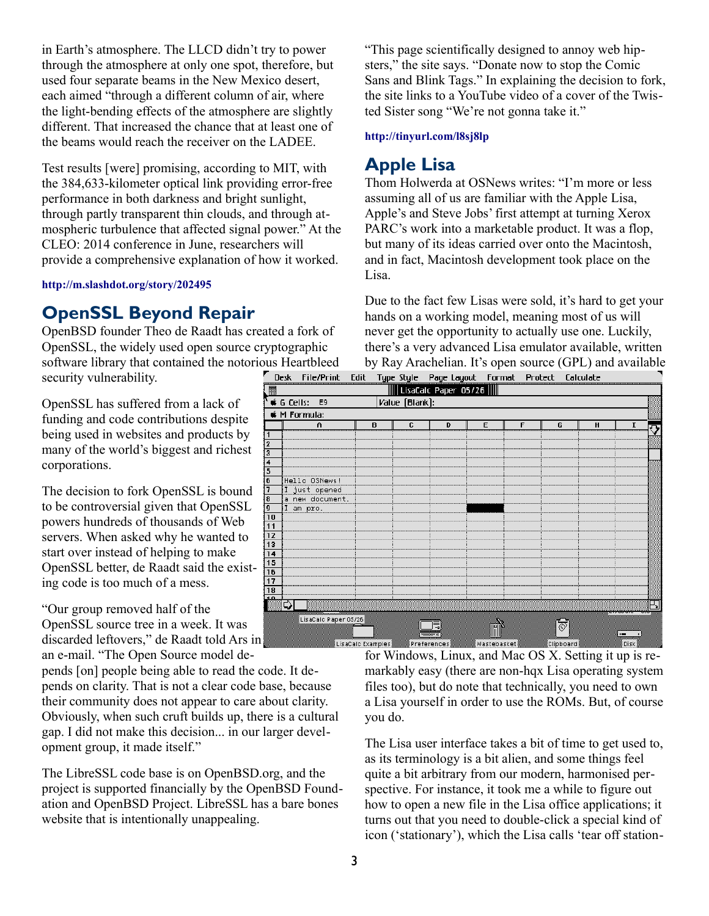in Earth's atmosphere. The LLCD didn't try to power through the atmosphere at only one spot, therefore, but used four separate beams in the New Mexico desert, each aimed "through a different column of air, where the light-bending effects of the atmosphere are slightly different. That increased the chance that at least one of the beams would reach the receiver on the LADEE.

Test results [were] promising, according to MIT, with the 384,633-kilometer optical link providing error-free performance in both darkness and bright sunlight, through partly transparent thin clouds, and through atmospheric turbulence that affected signal power." At the CLEO: 2014 conference in June, researchers will provide a comprehensive explanation of how it worked.

**<http://m.slashdot.org/story/202495>**

#### **OpenSSL Beyond Repair**

OpenBSD founder Theo de Raadt has created a fork of OpenSSL, the widely used open source cryptographic software library that contained the notorious Heartbleed security vulnerability. Desk File/Print

OpenSSL has suffered from a lack of funding and code contributions despite being used in websites and products by many of the world's biggest and richest corporations.

The decision to fork OpenSSL is bound to be controversial given that OpenSSL powers hundreds of thousands of Web servers. When asked why he wanted to start over instead of helping to make OpenSSL better, de Raadt said the existing code is too much of a mess.

"Our group removed half of the OpenSSL source tree in a week. It was discarded leftovers," de Raadt told Ars in

an e-mail. "The Open Source model depends [on] people being able to read the code. It depends on clarity. That is not a clear code base, because their community does not appear to care about clarity. Obviously, when such cruft builds up, there is a cultural gap. I did not make this decision... in our larger development group, it made itself."

The LibreSSL code base is on OpenBSD.org, and the project is supported financially by the OpenBSD Foundation and OpenBSD Project. LibreSSL has a bare bones website that is intentionally unappealing.

"This page scientifically designed to annoy web hipsters," the site says. "Donate now to stop the Comic Sans and Blink Tags." In explaining the decision to fork, the site links to a YouTube video of a cover of the Twisted Sister song "We're not gonna take it."

#### **<http://tinyurl.com/l8sj8lp>**

#### **Apple Lisa**

Thom Holwerda at OSNews writes: "I'm more or less assuming all of us are familiar with the Apple Lisa, Apple's and Steve Jobs' first attempt at turning Xerox PARC's work into a marketable product. It was a flop, but many of its ideas carried over onto the Macintosh, and in fact, Macintosh development took place on the Lisa.

Due to the fact few Lisas were sold, it's hard to get your hands on a working model, meaning most of us will never get the opportunity to actually use one. Luckily, there's a very advanced Lisa emulator available, written by Ray Arachelian. It's open source (GPL) and available



for Windows, Linux, and Mac OS X. Setting it up is remarkably easy (there are non-hqx Lisa operating system files too), but do note that technically, you need to own a Lisa yourself in order to use the ROMs. But, of course you do.

The Lisa user interface takes a bit of time to get used to, as its terminology is a bit alien, and some things feel quite a bit arbitrary from our modern, harmonised perspective. For instance, it took me a while to figure out how to open a new file in the Lisa office applications; it turns out that you need to double-click a special kind of icon ('stationary'), which the Lisa calls 'tear off station